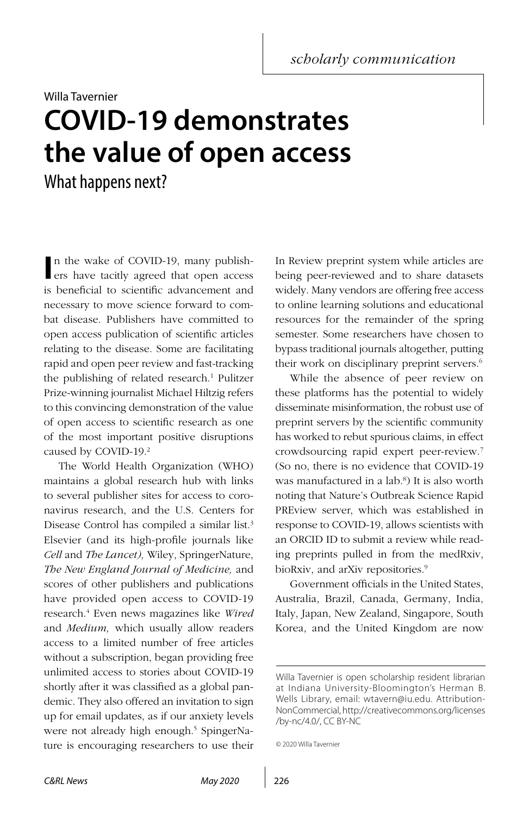*scholarly communication*

## Willa Tavernier **COVID-19 demonstrates the value of open access**

What happens next?

In the wake of COVID-19, many publishers have tacitly agreed that open access n the wake of COVID-19, many publishis beneficial to scientific advancement and necessary to move science forward to combat disease. Publishers have committed to open access publication of scientific articles relating to the disease. Some are facilitating rapid and open peer review and fast-tracking the publishing of related research.<sup>1</sup> Pulitzer Prize-winning journalist Michael Hiltzig refers to this convincing demonstration of the value of open access to scientific research as one of the most important positive disruptions caused by COVID-19.<sup>2</sup>

The World Health Organization (WHO) maintains a global research hub with links to several publisher sites for access to coronavirus research, and the U.S. Centers for Disease Control has compiled a similar list.<sup>3</sup> Elsevier (and its high-profile journals like *Cell* and *The Lancet),* Wiley, SpringerNature, *The New England Journal of Medicine,* and scores of other publishers and publications have provided open access to COVID-19 research.4 Even news magazines like *Wired* and *Medium,* which usually allow readers access to a limited number of free articles without a subscription, began providing free unlimited access to stories about COVID-19 shortly after it was classified as a global pandemic. They also offered an invitation to sign up for email updates, as if our anxiety levels were not already high enough.<sup>5</sup> SpingerNature is encouraging researchers to use their In Review preprint system while articles are being peer-reviewed and to share datasets widely. Many vendors are offering free access to online learning solutions and educational resources for the remainder of the spring semester. Some researchers have chosen to bypass traditional journals altogether, putting their work on disciplinary preprint servers.<sup>6</sup>

While the absence of peer review on these platforms has the potential to widely disseminate misinformation, the robust use of preprint servers by the scientific community has worked to rebut spurious claims, in effect crowdsourcing rapid expert peer-review.7 (So no, there is no evidence that COVID-19 was manufactured in a lab.8 ) It is also worth noting that Nature's Outbreak Science Rapid PREview server, which was established in response to COVID-19, allows scientists with an ORCID ID to submit a review while reading preprints pulled in from the medRxiv, bioRxiv, and arXiv repositories.<sup>9</sup>

Government officials in the United States, Australia, Brazil, Canada, Germany, India, Italy, Japan, New Zealand, Singapore, South Korea, and the United Kingdom are now

```
© 2020 Willa Tavernier
```
Willa Tavernier is open scholarship resident librarian at Indiana University-Bloomington's Herman B. Wells Library, email: [wtavern@iu.edu.](mailto:wtavern%40iu.edu?subject=) Attribution-NonCommercial, [http://creativecommons.org/licenses](http://creativecommons.org/licenses/by-nc/4.0/) [/by-nc/4.0/, CC BY-NC](http://creativecommons.org/licenses/by-nc/4.0/)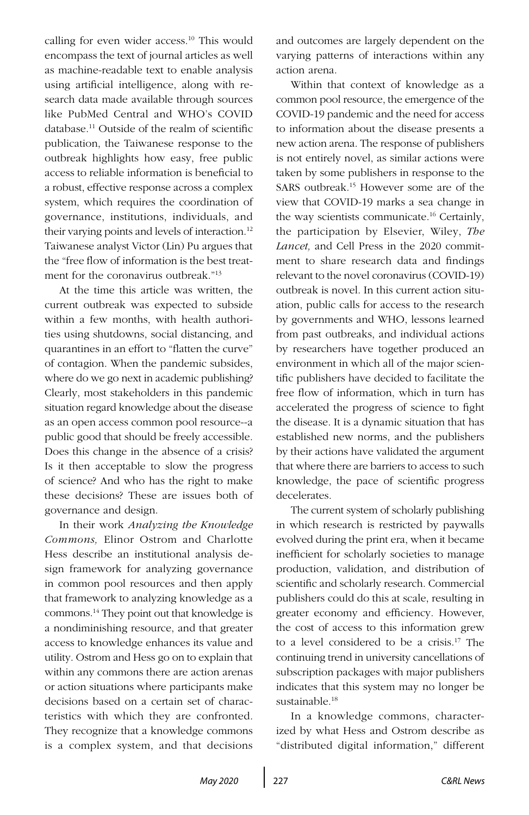calling for even wider access.<sup>10</sup> This would encompass the text of journal articles as well as machine-readable text to enable analysis using artificial intelligence, along with research data made available through sources like PubMed Central and WHO's COVID database.11 Outside of the realm of scientific publication, the Taiwanese response to the outbreak highlights how easy, free public access to reliable information is beneficial to a robust, effective response across a complex system, which requires the coordination of governance, institutions, individuals, and their varying points and levels of interaction.<sup>12</sup> Taiwanese analyst Victor (Lin) Pu argues that the "free flow of information is the best treatment for the coronavirus outbreak "<sup>13</sup>

At the time this article was written, the current outbreak was expected to subside within a few months, with health authorities using shutdowns, social distancing, and quarantines in an effort to "flatten the curve" of contagion. When the pandemic subsides, where do we go next in academic publishing? Clearly, most stakeholders in this pandemic situation regard knowledge about the disease as an open access common pool resource--a public good that should be freely accessible. Does this change in the absence of a crisis? Is it then acceptable to slow the progress of science? And who has the right to make these decisions? These are issues both of governance and design.

In their work *Analyzing the Knowledge Commons,* Elinor Ostrom and Charlotte Hess describe an institutional analysis design framework for analyzing governance in common pool resources and then apply that framework to analyzing knowledge as a commons.14 They point out that knowledge is a nondiminishing resource, and that greater access to knowledge enhances its value and utility. Ostrom and Hess go on to explain that within any commons there are action arenas or action situations where participants make decisions based on a certain set of characteristics with which they are confronted. They recognize that a knowledge commons is a complex system, and that decisions and outcomes are largely dependent on the varying patterns of interactions within any action arena.

Within that context of knowledge as a common pool resource, the emergence of the COVID-19 pandemic and the need for access to information about the disease presents a new action arena. The response of publishers is not entirely novel, as similar actions were taken by some publishers in response to the SARS outbreak.15 However some are of the view that COVID-19 marks a sea change in the way scientists communicate.16 Certainly, the participation by Elsevier, Wiley, *The Lancet,* and Cell Press in the 2020 commitment to share research data and findings relevant to the novel coronavirus (COVID-19) outbreak is novel. In this current action situation, public calls for access to the research by governments and WHO, lessons learned from past outbreaks, and individual actions by researchers have together produced an environment in which all of the major scientific publishers have decided to facilitate the free flow of information, which in turn has accelerated the progress of science to fight the disease. It is a dynamic situation that has established new norms, and the publishers by their actions have validated the argument that where there are barriers to access to such knowledge, the pace of scientific progress decelerates.

The current system of scholarly publishing in which research is restricted by paywalls evolved during the print era, when it became inefficient for scholarly societies to manage production, validation, and distribution of scientific and scholarly research. Commercial publishers could do this at scale, resulting in greater economy and efficiency. However, the cost of access to this information grew to a level considered to be a crisis.17 The continuing trend in university cancellations of subscription packages with major publishers indicates that this system may no longer be sustainable.<sup>18</sup>

In a knowledge commons, characterized by what Hess and Ostrom describe as "distributed digital information," different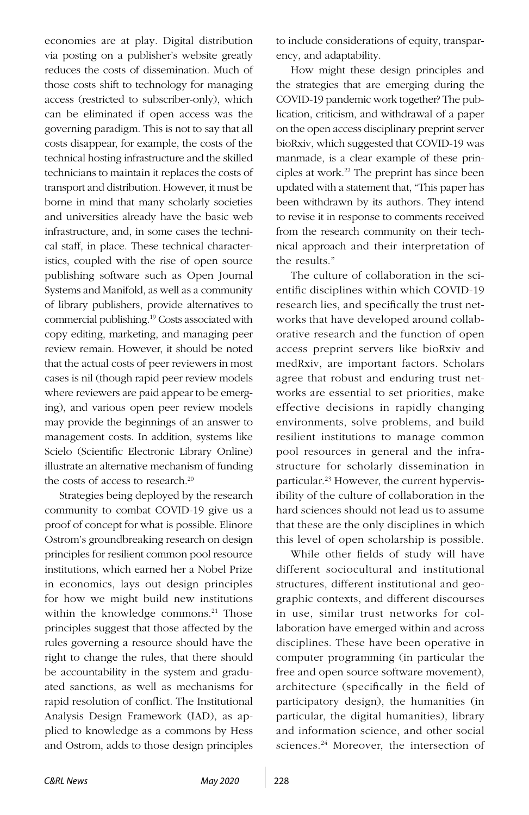economies are at play. Digital distribution via posting on a publisher's website greatly reduces the costs of dissemination. Much of those costs shift to technology for managing access (restricted to subscriber-only), which can be eliminated if open access was the governing paradigm. This is not to say that all costs disappear, for example, the costs of the technical hosting infrastructure and the skilled technicians to maintain it replaces the costs of transport and distribution. However, it must be borne in mind that many scholarly societies and universities already have the basic web infrastructure, and, in some cases the technical staff, in place. These technical characteristics, coupled with the rise of open source publishing software such as Open Journal Systems and Manifold, as well as a community of library publishers, provide alternatives to commercial publishing.19 Costs associated with copy editing, marketing, and managing peer review remain. However, it should be noted that the actual costs of peer reviewers in most cases is nil (though rapid peer review models where reviewers are paid appear to be emerging), and various open peer review models may provide the beginnings of an answer to management costs. In addition, systems like Scielo (Scientific Electronic Library Online) illustrate an alternative mechanism of funding the costs of access to research.<sup>20</sup>

Strategies being deployed by the research community to combat COVID-19 give us a proof of concept for what is possible. Elinore Ostrom's groundbreaking research on design principles for resilient common pool resource institutions, which earned her a Nobel Prize in economics, lays out design principles for how we might build new institutions within the knowledge commons.<sup>21</sup> Those principles suggest that those affected by the rules governing a resource should have the right to change the rules, that there should be accountability in the system and graduated sanctions, as well as mechanisms for rapid resolution of conflict. The Institutional Analysis Design Framework (IAD), as applied to knowledge as a commons by Hess and Ostrom, adds to those design principles to include considerations of equity, transparency, and adaptability.

How might these design principles and the strategies that are emerging during the COVID-19 pandemic work together? The publication, criticism, and withdrawal of a paper on the open access disciplinary preprint server bioRxiv, which suggested that COVID-19 was manmade, is a clear example of these principles at work.22 The preprint has since been updated with a statement that, "This paper has been withdrawn by its authors. They intend to revise it in response to comments received from the research community on their technical approach and their interpretation of the results."

The culture of collaboration in the scientific disciplines within which COVID-19 research lies, and specifically the trust networks that have developed around collaborative research and the function of open access preprint servers like bioRxiv and medRxiv, are important factors. Scholars agree that robust and enduring trust networks are essential to set priorities, make effective decisions in rapidly changing environments, solve problems, and build resilient institutions to manage common pool resources in general and the infrastructure for scholarly dissemination in particular.<sup>23</sup> However, the current hypervisibility of the culture of collaboration in the hard sciences should not lead us to assume that these are the only disciplines in which this level of open scholarship is possible.

While other fields of study will have different sociocultural and institutional structures, different institutional and geographic contexts, and different discourses in use, similar trust networks for collaboration have emerged within and across disciplines. These have been operative in computer programming (in particular the free and open source software movement), architecture (specifically in the field of participatory design), the humanities (in particular, the digital humanities), library and information science, and other social sciences.24 Moreover, the intersection of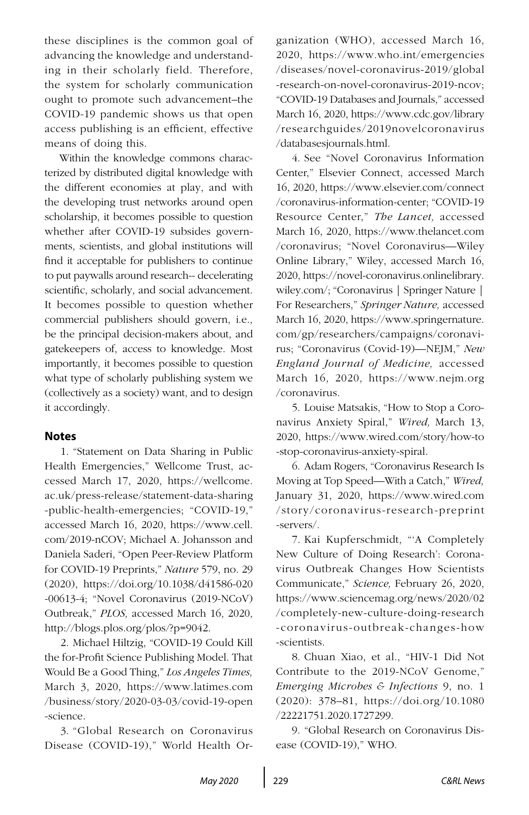these disciplines is the common goal of advancing the knowledge and understanding in their scholarly field. Therefore, the system for scholarly communication ought to promote such advancement–the COVID-19 pandemic shows us that open access publishing is an efficient, effective means of doing this.

Within the knowledge commons characterized by distributed digital knowledge with the different economies at play, and with the developing trust networks around open scholarship, it becomes possible to question whether after COVID-19 subsides governments, scientists, and global institutions will find it acceptable for publishers to continue to put paywalls around research-- decelerating scientific, scholarly, and social advancement. It becomes possible to question whether commercial publishers should govern, i.e., be the principal decision-makers about, and gatekeepers of, access to knowledge. Most importantly, it becomes possible to question what type of scholarly publishing system we (collectively as a society) want, and to design it accordingly.

## **Notes**

1. "Statement on Data Sharing in Public Health Emergencies," Wellcome Trust, accessed March 17, 2020, [https://wellcome.](https://wellcome.ac.uk/press-release/statement-data-sharing-public-health-emergencies) [ac.uk/press-release/statement-data-sharing](https://wellcome.ac.uk/press-release/statement-data-sharing-public-health-emergencies) [-public-health-emergencies;](https://wellcome.ac.uk/press-release/statement-data-sharing-public-health-emergencies) "COVID-19," accessed March 16, 2020, [https://www.cell.](https://www.cell.com/2019-nCOV) [com/2019-nCOV;](https://www.cell.com/2019-nCOV) Michael A. Johansson and Daniela Saderi, "Open Peer-Review Platform for COVID-19 Preprints," *Nature* 579, no. 29 (2020), [https://doi.org/10.1038/d41586-020](https://doi.org/10.1038/d41586-020-00613-4) [-00613-4](https://doi.org/10.1038/d41586-020-00613-4); "Novel Coronavirus (2019-NCoV) Outbreak," *PLOS,* accessed March 16, 2020, [http://blogs.plos.org/plos/?p=9042.](http://blogs.plos.org/plos/?p=9042)

2. Michael Hiltzig, "COVID-19 Could Kill the for-Profit Science Publishing Model. That Would Be a Good Thing," *Los Angeles Times,*  March 3, 2020, [https://www.latimes.com](https://www.latimes.com/business/story/2020-03-03/covid-19-open-science) [/business/story/2020-03-03/covid-19-open](https://www.latimes.com/business/story/2020-03-03/covid-19-open-science) [-science.](https://www.latimes.com/business/story/2020-03-03/covid-19-open-science)

3. "Global Research on Coronavirus Disease (COVID-19)," World Health Organization (WHO), accessed March 16, 2020, [https://www.who.int/emergencies](https://www.who.int/emergencies/diseases/novel-coronavirus-2019/global-research-on-novel-coronavirus-2019-ncov) [/diseases/novel-coronavirus-2019/global](https://www.who.int/emergencies/diseases/novel-coronavirus-2019/global-research-on-novel-coronavirus-2019-ncov) [-research-on-novel-coronavirus-2019-ncov](https://www.who.int/emergencies/diseases/novel-coronavirus-2019/global-research-on-novel-coronavirus-2019-ncov); "COVID-19 Databases and Journals," accessed March 16, 2020, [https://www.cdc.gov/library](https://www.cdc.gov/library/researchguides/2019novelcoronavirus/databasesjournals.html) [/researchguides/2019novelcoronavirus](https://www.cdc.gov/library/researchguides/2019novelcoronavirus/databasesjournals.html) [/databasesjournals.html.](https://www.cdc.gov/library/researchguides/2019novelcoronavirus/databasesjournals.html)

4. See "Novel Coronavirus Information Center," Elsevier Connect, accessed March 16, 2020, [https://www.elsevier.com/connect](https://www.elsevier.com/connect/coronavirus-information-center) [/coronavirus-information-center;](https://www.elsevier.com/connect/coronavirus-information-center) "COVID-19 Resource Center," *The Lancet,* accessed March 16, 2020, [https://www.thelancet.com](https://www.thelancet.com/coronavirus) [/coronavirus](https://www.thelancet.com/coronavirus); "Novel Coronavirus—Wiley Online Library," Wiley, accessed March 16, 2020, [https://novel-coronavirus.onlinelibrary.](https://novel-coronavirus.onlinelibrary.wiley.com/) [wiley.com/;](https://novel-coronavirus.onlinelibrary.wiley.com/) "Coronavirus | Springer Nature | For Researchers," *Springer Nature,* accessed March 16, 2020[, https://www.springernature.](https://www.elsevier.com/connect/coronavirus-information-center
) [com/gp/researchers/campaigns/coronavi](https://www.elsevier.com/connect/coronavirus-information-center
)[rus](https://www.elsevier.com/connect/coronavirus-information-center
); "Coronavirus (Covid-19)—NEJM," *New England Journal of Medicine,* accessed March 16, 2020, [https://www.nejm.org](https://www.nejm.org/coronavirus) [/coronavirus](https://www.nejm.org/coronavirus).

5. Louise Matsakis, "How to Stop a Coronavirus Anxiety Spiral," *Wired,* March 13, 2020, [https://www.wired.com/story/how-to](https://www.wired.com/story/how-to-stop-coronavirus-anxiety-spiral) [-stop-coronavirus-anxiety-spiral](https://www.wired.com/story/how-to-stop-coronavirus-anxiety-spiral).

6. Adam Rogers, "Coronavirus Research Is Moving at Top Speed—With a Catch," *Wired,*  January 31, 2020, [https://www.wired.com](https://www.wired.com/story/coronavirus-research-preprint-servers/) [/story/coronavirus-research-preprint](https://www.wired.com/story/coronavirus-research-preprint-servers/) [-servers/.](https://www.wired.com/story/coronavirus-research-preprint-servers/)

7. Kai Kupferschmidt, "'A Completely New Culture of Doing Research': Coronavirus Outbreak Changes How Scientists Communicate," *Science,* February 26, 2020, [https://www.sciencemag.org/news/2020/02](https://www.sciencemag.org/news/2020/02/completely-new-culture-doing-research-coronavirus-outbreak-changes-how-scientists) [/completely-new-culture-doing-research](https://www.sciencemag.org/news/2020/02/completely-new-culture-doing-research-coronavirus-outbreak-changes-how-scientists) [-coronavirus-outbreak-changes-how](https://www.sciencemag.org/news/2020/02/completely-new-culture-doing-research-coronavirus-outbreak-changes-how-scientists) [-scientists](https://www.sciencemag.org/news/2020/02/completely-new-culture-doing-research-coronavirus-outbreak-changes-how-scientists).

8. Chuan Xiao, et al., "HIV-1 Did Not Contribute to the 2019-NCoV Genome," *Emerging Microbes & Infections* 9, no. 1 (2020): 378–81, [https://doi.org/10.1080](https://doi.org/10.1080/22221751.2020.1727299) [/22221751.2020.1727299](https://doi.org/10.1080/22221751.2020.1727299).

9. "Global Research on Coronavirus Disease (COVID-19)," WHO.